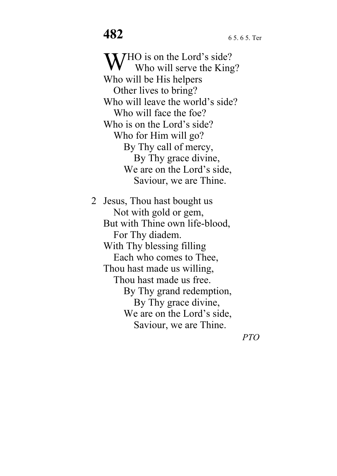WHO is on the Lord's side?<br>Who will serve the King Who will serve the King? Who will be His helpers Other lives to bring? Who will leave the world's side? Who will face the foe? Who is on the Lord's side? Who for Him will go? By Thy call of mercy, By Thy grace divine, We are on the Lord's side, Saviour, we are Thine.

2 Jesus, Thou hast bought us Not with gold or gem, But with Thine own life-blood, For Thy diadem. With Thy blessing filling Each who comes to Thee, Thou hast made us willing, Thou hast made us free. By Thy grand redemption, By Thy grace divine, We are on the Lord's side, Saviour, we are Thine.

*PTO*